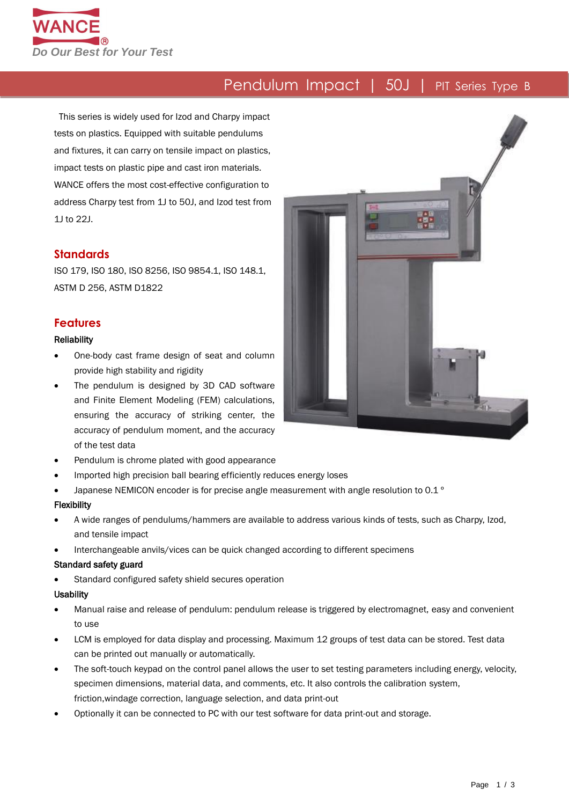

# Pendulum Impact | 50J | PIT Series Type B

This series is widely used for Izod and Charpy impact tests on plastics. Equipped with suitable pendulums and fixtures, it can carry on tensile impact on plastics, impact tests on plastic pipe and cast iron materials. WANCE offers the most cost-effective configuration to address Charpy test from 1J to 50J, and Izod test from 1J to 22J.

#### **Standards**

ISO 179, ISO 180, ISO 8256, ISO 9854.1, ISO 148.1, ASTM D 256, ASTM D1822

#### **Features**

#### **Reliability**

- One-body cast frame design of seat and column provide high stability and rigidity
- The pendulum is designed by 3D CAD software and Finite Element Modeling (FEM) calculations, ensuring the accuracy of striking center, the accuracy of pendulum moment, and the accuracy of the test data
- Pendulum is chrome plated with good appearance
- Imported high precision ball bearing efficiently reduces energy loses
- Japanese NEMICON encoder is for precise angle measurement with angle resolution to 0.1 °

#### Flexibility

- A wide ranges of pendulums/hammers are available to address various kinds of tests, such as Charpy, Izod, and tensile impact
- Interchangeable anvils/vices can be quick changed according to different specimens

#### Standard safety guard

Standard configured safety shield secures operation

#### **Usability**

- Manual raise and release of pendulum: pendulum release is triggered by electromagnet, easy and convenient to use
- LCM is employed for data display and processing. Maximum 12 groups of test data can be stored. Test data can be printed out manually or automatically.
- The soft-touch keypad on the control panel allows the user to set testing parameters including energy, velocity, specimen dimensions, material data, and comments, etc. It also controls the calibration system, friction,windage correction, language selection, and data print-out
- Optionally it can be connected to PC with our test software for data print-out and storage.

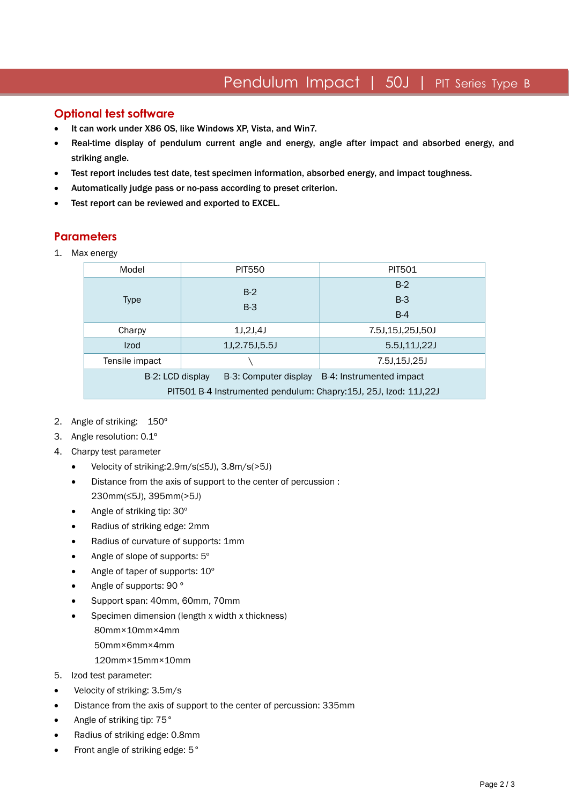## Pendulum Impact | 50J | PIT Series Type B

### **Optional test software**

- It can work under X86 OS, like Windows XP, Vista, and Win7.
- Real-time display of pendulum current angle and energy, angle after impact and absorbed energy, and striking angle.
- Test report includes test date, test specimen information, absorbed energy, and impact toughness.
- Automatically judge pass or no-pass according to preset criterion.
- Test report can be reviewed and exported to EXCEL.

### **Parameters**

1. Max energy

| Model                                                            | <b>PIT550</b>         | <b>PIT501</b>            |  |  |  |  |
|------------------------------------------------------------------|-----------------------|--------------------------|--|--|--|--|
| <b>Type</b>                                                      | $B-2$                 | $B-2$                    |  |  |  |  |
|                                                                  | $B-3$                 | $B-3$                    |  |  |  |  |
|                                                                  |                       | $B-4$                    |  |  |  |  |
| Charpy                                                           | 1J,2J,4J              | 7.5J,15J,25J,50J         |  |  |  |  |
| <b>Izod</b>                                                      | 1J, 2.75J, 5.5J       | 5.5J.11J.22J             |  |  |  |  |
| Tensile impact                                                   |                       | 7.5J,15J,25J             |  |  |  |  |
| B-2: LCD display                                                 | B-3: Computer display | B-4: Instrumented impact |  |  |  |  |
| PIT501 B-4 Instrumented pendulum: Chapry:15J, 25J, Izod: 11J,22J |                       |                          |  |  |  |  |

- 2. Angle of striking: 150º
- 3. Angle resolution: 0.1º
- 4. Charpy test parameter
	- Velocity of striking:2.9m/s(≤5J), 3.8m/s(>5J)
	- Distance from the axis of support to the center of percussion : 230mm(≤5J), 395mm(>5J)
	- Angle of striking tip: 30°
	- Radius of striking edge: 2mm
	- Radius of curvature of supports: 1mm
	- Angle of slope of supports:  $5^\circ$
	- Angle of taper of supports:  $10^{\circ}$
	- Angle of supports: 90 °
	- Support span: 40mm, 60mm, 70mm
	- Specimen dimension (length x width x thickness) 80mm×10mm×4mm 50mm×6mm×4mm 120mm×15mm×10mm
- 5. Izod test parameter:
- Velocity of striking: 3.5m/s
- Distance from the axis of support to the center of percussion: 335mm
- Angle of striking tip: 75°
- Radius of striking edge: 0.8mm
- Front angle of striking edge: 5°